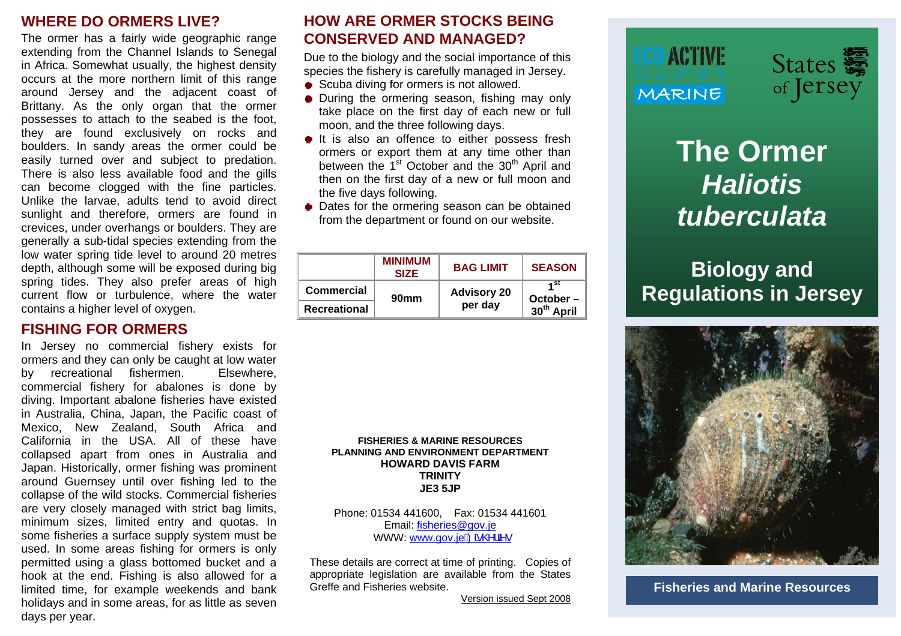### **WHERE DO ORMERS LIVE?**

The ormer has a fairly wide geographic range extending from the Channel Islands to Senegal in Africa. Somewhat usually, the highest density occurs at the more northern limit of this range around Jersey and the adjacent coast of Brittany. As the only organ that the ormer possesses to attach to the seabed is the foot, they are found exclusively on rocks and boulders. In sandy areas the ormer could be easily turned over and subject to predation. There is also less available food and the gills can become clogged with the fine particles. Unlike the larvae, adults tend to avoid direct sunlight and therefore, ormers are found in crevices, under overhangs or boulders. They are generally a sub-tidal species extending from the low water spring tide level to around 20 metres depth, although some will be exposed during big spring tides. They also prefer areas of high current flow or turbulence, where the water contains a higher level of oxygen.

### **FISHING FOR ORMERS**

In Jersey no commercial fishery exists for ormers and they can only be caught at low water by recreational fishermen. Elsewhere, commercial fishery for abalones is done by diving. Important abalone fisheries have existed in Australia, China, Japan, the Pacific coast of Mexico, New Zealand, South Africa and California in the USA. All of these have collapsed apart from ones in Australia and Japan. Historically, ormer fishing was prominent around Guernsey until over fishing led to the collapse of the wild stocks. Commercial fisheries are very closely managed with strict bag limits, minimum sizes, limited entry and quotas. In some fisheries a surface supply system must be used. In some areas fishing for ormers is only permitted using a glass bottomed bucket and a hook at the end. Fishing is also allowed for a limited time, for example weekends and bank holidays and in some areas, for as little as seven days per year.

### **HOW ARE ORMER STOCKS BEING CONSERVED AND MANAGED?**

Due to the biology and the social importance of this species the fishery is carefully managed in Jersey.

- Scuba diving for ormers is not allowed.
- During the ormering season, fishing may only take place on the first day of each new or full moon, and the three following days.
- It is also an offence to either possess fresh ormers or export them at any time other than between the 1<sup>st</sup> October and the 30<sup>th</sup> April and then on the first day of a new or full moon and the five days following.
- Dates for the ormering season can be obtained from the department or found on our website.

|                     | <b>MINIMUM</b><br><b>SIZE</b> | <b>BAG LIMIT</b>              | <b>SEASON</b>                                 |
|---------------------|-------------------------------|-------------------------------|-----------------------------------------------|
| <b>Commercial</b>   | 90 <sub>mm</sub>              | <b>Advisory 20</b><br>per day | ⊿ st<br>$October -$<br>30 <sup>th</sup> April |
| <b>Recreational</b> |                               |                               |                                               |

**FISHERIES & MARINE RESOURCES PLANNING AND ENVIRONMENT DEPARTMENT HOWARD DAVIS FARM TRINITY JE3 5JP** 

Phone: 01534 441600, Fax: 01534 441601 Email: [fisheries@gov.je](mailto:fisheries@gov.je) WWW.[www.gov.je](http://www.gov.je/Fisheries)b2 @ a.

These details are correct at time of printing. Copies of appropriate legislation are available from the States Greffe and Fisheries website.

Version issued Sept 2008



# **The Ormer**  *Haliotis tuberculata*

## **Biology and Regulations in Jersey**



**Fisheries and Marine Resources**